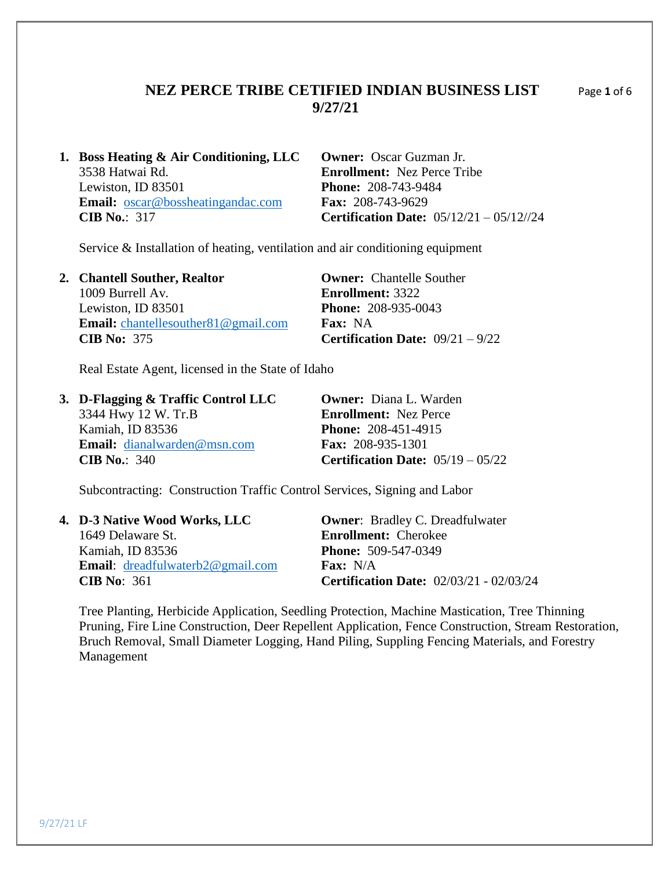## **NEZ PERCE TRIBE CETIFIED INDIAN BUSINESS LIST** Page **1** of 6 **9/27/21**

**1. Boss Heating & Air Conditioning, LLC Owner:** Oscar Guzman Jr. 3538 Hatwai Rd. **Enrollment:** Nez Perce Tribe Lewiston, ID 83501 **Phone:** 208-743-9484 **Email:** [oscar@bossheatingandac.com](mailto:oscar@bossheatingandac.com) **Fax:** 208-743-9629 **CIB No.**:317 **Certification Date:** 05/12/21 – 05/12//24

Service & Installation of heating, ventilation and air conditioning equipment

| 2. Chantell Souther, Realtor                   | <b>Owner:</b> Chantelle Souther           |
|------------------------------------------------|-------------------------------------------|
| 1009 Burrell Av.                               | <b>Enrollment: 3322</b>                   |
| Lewiston, ID 83501                             | <b>Phone: 208-935-0043</b>                |
| <b>Email:</b> chantellesouther $81@$ gmail.com | <b>Fax:</b> NA                            |
| CIB No: $375$                                  | <b>Certification Date:</b> $09/21 - 9/22$ |

Real Estate Agent, licensed in the State of Idaho

| 3. D-Flagging $\&$ Traffic Control LLC | <b>Owner:</b> Diana L. Warden              |
|----------------------------------------|--------------------------------------------|
| 3344 Hwy 12 W. Tr.B                    | <b>Enrollment:</b> Nez Perce               |
| Kamiah, ID 83536                       | <b>Phone: 208-451-4915</b>                 |
| <b>Email:</b> dianalwarden@msn.com     | <b>Fax:</b> 208-935-1301                   |
| CIB No.: $340$                         | <b>Certification Date:</b> $05/19 - 05/22$ |

Subcontracting: Construction Traffic Control Services, Signing and Labor

| 4. D-3 Native Wood Works, LLC              | <b>Owner:</b> Bradley C. Dreadfulwater         |
|--------------------------------------------|------------------------------------------------|
| 1649 Delaware St.                          | <b>Enrollment:</b> Cherokee                    |
| Kamiah, ID 83536                           | <b>Phone: 509-547-0349</b>                     |
| <b>Email:</b> $d$ readfulwaterb2@gmail.com | <b>Fax:</b> $N/A$                              |
| CIB No: $361$                              | <b>Certification Date: 02/03/21 - 02/03/24</b> |

Tree Planting, Herbicide Application, Seedling Protection, Machine Mastication, Tree Thinning Pruning, Fire Line Construction, Deer Repellent Application, Fence Construction, Stream Restoration, Bruch Removal, Small Diameter Logging, Hand Piling, Suppling Fencing Materials, and Forestry Management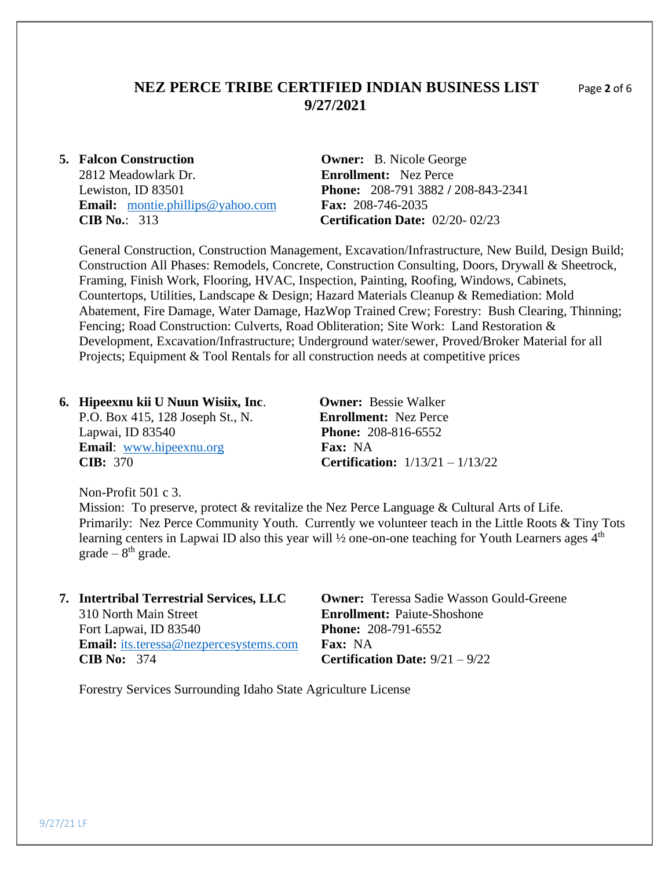## **NEZ PERCE TRIBE CERTIFIED INDIAN BUSINESS LIST** Page **2** of 6 **9/27/2021**

2812 Meadowlark Dr. **Enrollment:** Nez Perce **Email:** [montie.phillips@yahoo.com](mailto:montie.phillips@yahoo.com) **Fax:** 208-746-2035 **CIB No.**: 313 **Certification Date:** 02/20- 02/23

**5. Falcon Construction Owner:** B. Nicole George Lewiston, ID 83501 **Phone:** 208-791 3882 **/** 208-843-2341

General Construction, Construction Management, Excavation/Infrastructure, New Build, Design Build; Construction All Phases: Remodels, Concrete, Construction Consulting, Doors, Drywall & Sheetrock, Framing, Finish Work, Flooring, HVAC, Inspection, Painting, Roofing, Windows, Cabinets, Countertops, Utilities, Landscape & Design; Hazard Materials Cleanup & Remediation: Mold Abatement, Fire Damage, Water Damage, HazWop Trained Crew; Forestry: Bush Clearing, Thinning; Fencing; Road Construction: Culverts, Road Obliteration; Site Work: Land Restoration & Development, Excavation/Infrastructure; Underground water/sewer, Proved/Broker Material for all Projects; Equipment & Tool Rentals for all construction needs at competitive prices

**6. Hipeexnu kii U Nuun Wisiix, Inc**. **Owner:** Bessie Walker P.O. Box 415, 128 Joseph St., N. **Enrollment:** Nez Perce Lapwai, ID 83540 **Phone:** 208-816-6552 **Email**: [www.hipeexnu.org](http://www.hipeexnu.org/) **Fax:** NA **CIB:** 370 **Certification:** 1/13/21 – 1/13/22

Non-Profit 501 c 3.

Mission: To preserve, protect & revitalize the Nez Perce Language & Cultural Arts of Life. Primarily: Nez Perce Community Youth. Currently we volunteer teach in the Little Roots & Tiny Tots learning centers in Lapwai ID also this year will  $\frac{1}{2}$  one-on-one teaching for Youth Learners ages  $4<sup>th</sup>$  $grade - 8<sup>th</sup> grade.$ 

| 7. Intertribal Terrestrial Services, LLC      | <b>Owner:</b> Teressa Sadie Wasson Gould-Greene |
|-----------------------------------------------|-------------------------------------------------|
| 310 North Main Street                         | <b>Enrollment:</b> Paiute-Shoshone              |
| Fort Lapwai, ID 83540                         | <b>Phone: 208-791-6552</b>                      |
| <b>Email:</b> its.teressa@nezpercesystems.com | <b>Fax:</b> NA                                  |
| CIB No: $374$                                 | <b>Certification Date:</b> $9/21 - 9/22$        |

Forestry Services Surrounding Idaho State Agriculture License

9/27/21 LF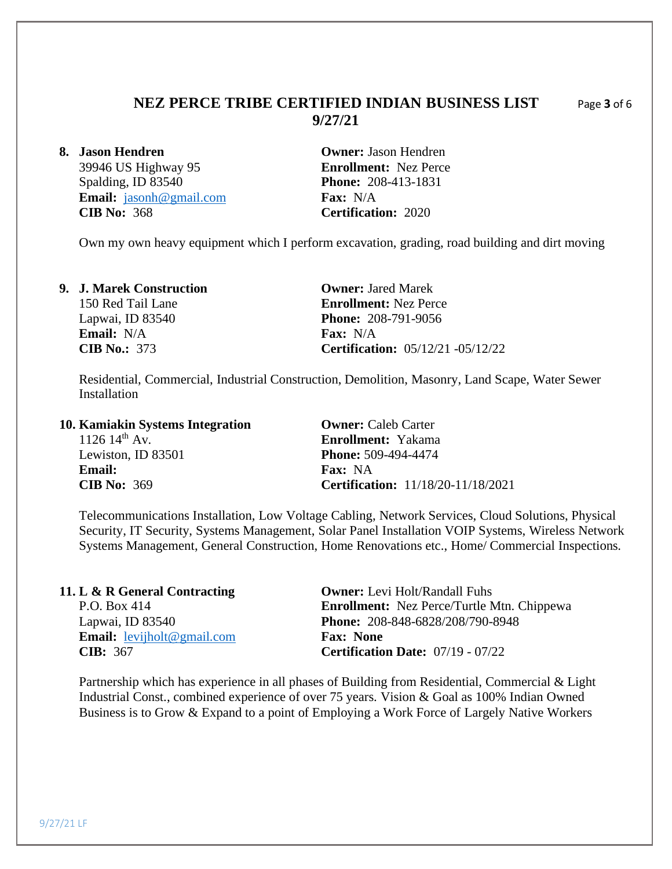# **NEZ PERCE TRIBE CERTIFIED INDIAN BUSINESS LIST** Page **3** of 6 **9/27/21**

Spalding, ID 83540 **Phone:** 208-413-1831 **Email:**  $j_{asonh@gmail.com}$  **Fax:** N/A<br>**CIB No:** 368 **Certificati** 

**8. Jason Hendren Owner:** Jason Hendren 39946 US Highway 95 **Enrollment:** Nez Perce **CIB No:** 368 **Certification:** 2020

Own my own heavy equipment which I perform excavation, grading, road building and dirt moving

### **9. J. Marek Construction Owner:** Jared Marek

**Email:** N/A **Fax:** N/A

150 Red Tail Lane **Enrollment:** Nez Perce Lapwai, ID 83540 **Phone:** 208-791-9056 **CIB No.:** 373 **Certification:** 05/12/21 -05/12/22

Residential, Commercial, Industrial Construction, Demolition, Masonry, Land Scape, Water Sewer Installation

### **10. Kamiakin Systems Integration Owner:** Caleb Carter

1126 14th Av. **Enrollment:** Yakama Lewiston, ID 83501 **Phone:** 509-494-4474 **Email: Fax:** NA **CIB No:** 369 **Certification:** 11/18/20-11/18/2021

Telecommunications Installation, Low Voltage Cabling, Network Services, Cloud Solutions, Physical Security, IT Security, Systems Management, Solar Panel Installation VOIP Systems, Wireless Network Systems Management, General Construction, Home Renovations etc., Home/ Commercial Inspections.

| 11. L & R General Contracting            | <b>Owner:</b> Levi Holt/Randall Fuhs              |
|------------------------------------------|---------------------------------------------------|
| P.O. Box 414                             | <b>Enrollment:</b> Nez Perce/Turtle Mtn. Chippewa |
| Lapwai, ID 83540                         | Phone: 208-848-6828/208/790-8948                  |
| <b>Email:</b> <u>levijholt@gmail.com</u> | <b>Fax: None</b>                                  |
| <b>CIB</b> : 367                         | <b>Certification Date:</b> $07/19 - 07/22$        |

Partnership which has experience in all phases of Building from Residential, Commercial & Light Industrial Const., combined experience of over 75 years. Vision & Goal as 100% Indian Owned Business is to Grow & Expand to a point of Employing a Work Force of Largely Native Workers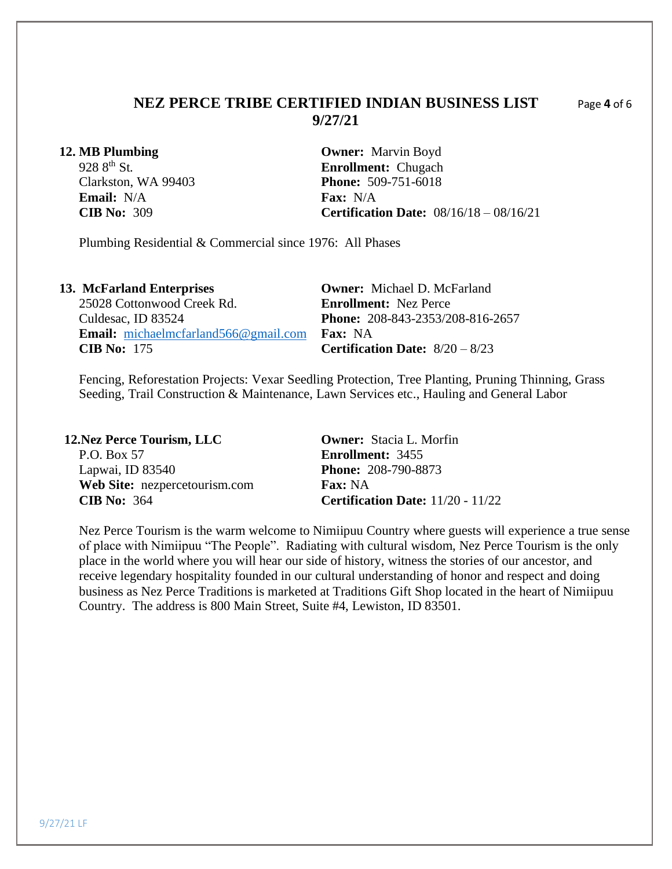## **NEZ PERCE TRIBE CERTIFIED INDIAN BUSINESS LIST** Page **4** of 6 **9/27/21**

**Email:** N/A **Fax:** N/A **Fax:** N/A **Fax:** N/A

**12. MB Plumbing Owner:** Marvin Boyd 928 8<sup>th</sup> St.<br> **Enrollment:** Chugach<br> **Enrollment:** Chugach<br> **Phone:** 509-751-6018 **Phone: 509-751-6018 CIB No:** 309 **Certification Date:** 08/16/18 – 08/16/21

Plumbing Residential & Commercial since 1976: All Phases

| 13. McFarland Enterprises                       | <b>Owner:</b> Michael D. McFarland       |
|-------------------------------------------------|------------------------------------------|
| 25028 Cottonwood Creek Rd.                      | <b>Enrollment:</b> Nez Perce             |
| Culdesac, ID 83524                              | <b>Phone:</b> 208-843-2353/208-816-2657  |
| <b>Email:</b> michaelmcfarland $566@$ gmail.com | <b>Fax:</b> NA                           |
| CIB No: $175$                                   | <b>Certification Date:</b> $8/20 - 8/23$ |

Fencing, Reforestation Projects: Vexar Seedling Protection, Tree Planting, Pruning Thinning, Grass Seeding, Trail Construction & Maintenance, Lawn Services etc., Hauling and General Labor

| <b>12.Nez Perce Tourism, LLC</b> | <b>Owner:</b> Stacia L. Morfin             |
|----------------------------------|--------------------------------------------|
| P.O. Box 57                      | <b>Enrollment: 3455</b>                    |
| Lapwai, ID 83540                 | <b>Phone: 208-790-8873</b>                 |
| Web Site: nezpercetourism.com    | <b>Fax:</b> NA                             |
| CIB No: $364$                    | <b>Certification Date:</b> $11/20 - 11/22$ |

Nez Perce Tourism is the warm welcome to Nimiipuu Country where guests will experience a true sense of place with Nimiipuu "The People". Radiating with cultural wisdom, Nez Perce Tourism is the only place in the world where you will hear our side of history, witness the stories of our ancestor, and receive legendary hospitality founded in our cultural understanding of honor and respect and doing business as Nez Perce Traditions is marketed at Traditions Gift Shop located in the heart of Nimiipuu Country. The address is 800 Main Street, Suite #4, Lewiston, ID 83501.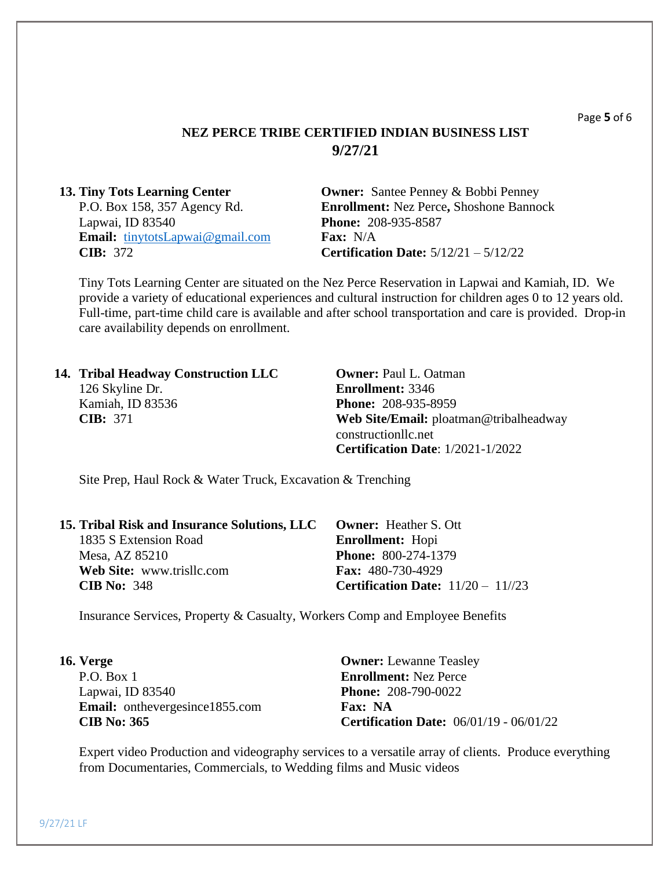## **NEZ PERCE TRIBE CERTIFIED INDIAN BUSINESS LIST 9/27/21**

| <b>13. Tiny Tots Learning Center</b>   | <b>Owner:</b> Santee Penney & Bobbi Penney     |
|----------------------------------------|------------------------------------------------|
| P.O. Box 158, 357 Agency Rd.           | <b>Enrollment: Nez Perce, Shoshone Bannock</b> |
| Lapwai, ID 83540                       | <b>Phone: 208-935-8587</b>                     |
| <b>Email:</b> tinytotsLapwai@gmail.com | <b>Fax:</b> $N/A$                              |
| <b>CIB</b> : $372$                     | <b>Certification Date:</b> $5/12/21 - 5/12/22$ |

Tiny Tots Learning Center are situated on the Nez Perce Reservation in Lapwai and Kamiah, ID. We provide a variety of educational experiences and cultural instruction for children ages 0 to 12 years old. Full-time, part-time child care is available and after school transportation and care is provided. Drop-in care availability depends on enrollment.

| 14. Tribal Headway Construction LLC | <b>Owner: Paul L. Oatman</b>             |
|-------------------------------------|------------------------------------------|
| 126 Skyline Dr.                     | <b>Enrollment: 3346</b>                  |
| Kamiah, ID 83536                    | <b>Phone: 208-935-8959</b>               |
| CIB: 371                            | Web Site/Email: ploatman@tribalheadway   |
|                                     | constructionllc.net                      |
|                                     | <b>Certification Date: 1/2021-1/2022</b> |

Site Prep, Haul Rock & Water Truck, Excavation & Trenching

| <b>15. Tribal Risk and Insurance Solutions, LLC Owner: Heather S. Ott</b> |
|---------------------------------------------------------------------------|
| <b>Enrollment:</b> Hopi                                                   |
| <b>Phone: 800-274-1379</b>                                                |
| <b>Fax:</b> 480-730-4929                                                  |
| <b>Certification Date:</b> $11/20 - 11/23$                                |
|                                                                           |

Insurance Services, Property & Casualty, Workers Comp and Employee Benefits

| 16. Verge                             | <b>Owner:</b> Lewanne Teasley                  |  |
|---------------------------------------|------------------------------------------------|--|
| P.O. Box 1                            | <b>Enrollment:</b> Nez Perce                   |  |
| Lapwai, ID 83540                      | <b>Phone: 208-790-0022</b>                     |  |
| <b>Email:</b> onthevergesince1855.com | Fax: NA                                        |  |
| <b>CIB No: 365</b>                    | <b>Certification Date:</b> 06/01/19 - 06/01/22 |  |

Expert video Production and videography services to a versatile array of clients. Produce everything from Documentaries, Commercials, to Wedding films and Music videos